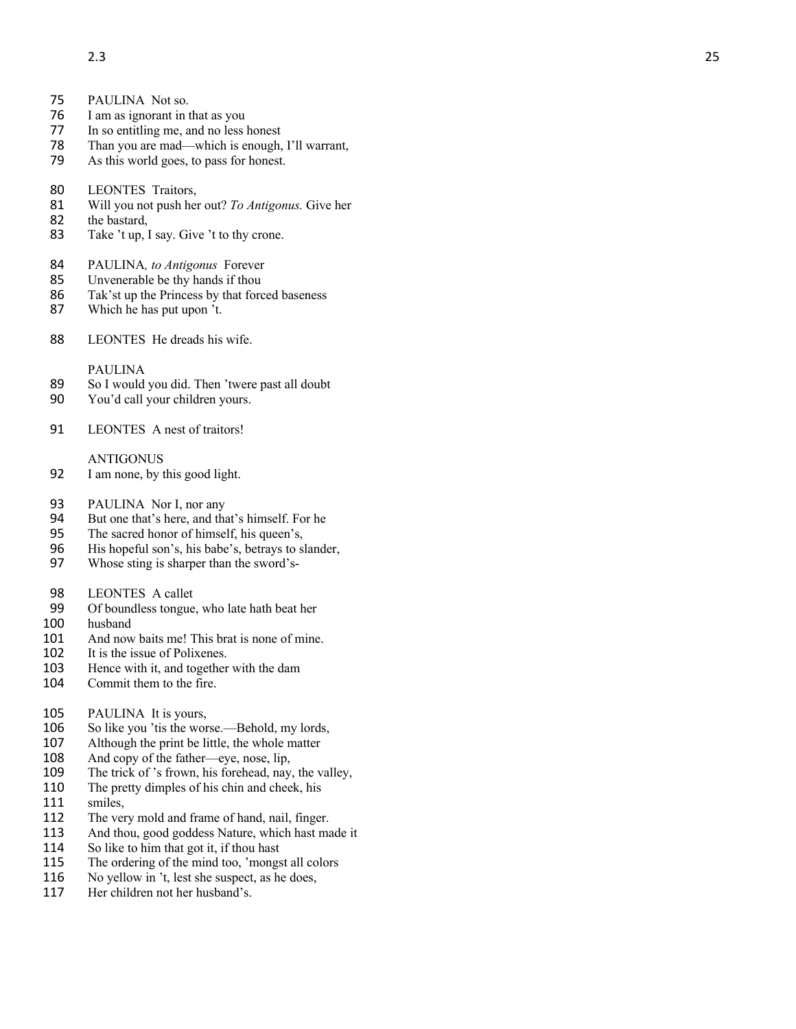- 75 PAULINA Not so .
- 76 I am as ignorant in that as you<br>77 In so entitling me, and no less
- In so entitling me, and no less honest
- 78 Than you are mad—which is enough, I'll warrant,
- 79 As this world goes, to pass for honest.
- 80 LEONTES Traitors,
- 81 Will you not push her out? *To Antigonus.* Give her
- 82 the bastard,
- 83 Take 't up, I say. Give 't to thy crone.
- 84 PAULINA*, to Antigonus* Forever
- 85 Unvenerable be thy hands if thou
- 86 Tak'st up the Princess by that forced baseness<br>87 Which he has put upon 't.
- Which he has put upon 't.
- 88 LEONTES He dreads his wife.

## PAULINA

- 89 So I would you did. Then 'twere past all doubt<br>90 You'd call your children yours.
- You'd call your children yours.
- 91 LEONTES A nest of traitors!

## ANTIGONUS

- 92 I am none, by this good light.
- 93 PAULINA Nor I, nor any
- 94 But one that's here, and that's himself. For he<br>95 The sacred honor of himself, his queen's,
- The sacred honor of himself, his queen's,
- 96 His hopeful son's, his babe's, betrays to slander,
- 97 Whose sting is sharper than the sword's -
- 98 LEONTES A callet
- 99 Of boundless tongue, who late hath beat her<br>100 husband
- husband
- 101 And now baits me! This brat is none of mine.
- 102 It is the issue of Polixenes.
- 103 Hence with it, and together with the dam
- 104 Commit them to the fire.

## 105 PAULINA It is yours,<br>106 So like you 't is the wor

- 106 So like you 'tis the worse. —Behold, my lords,
- 107 Although the print be little, the whole matter<br>108 And copy of the father—eye, nose, lip,
- And copy of the father—eye, nose, lip,
- 109 The trick of 's frown, his forehead, nay, the valley,
- 110 The pretty dimples of his chin and cheek, his
- 111 smiles.
- 112 The very mold and frame of hand, nail, finger.
- 113 And thou, good goddess Nature, which hast made it
- 114 So like to him that got it, if thou hast
- 115 The ordering of the mind too, 'mongst all colors
- 116 No yellow in 't, lest she suspect, as he does,<br>117 Her children not her husband's.
- Her children not her husband's.